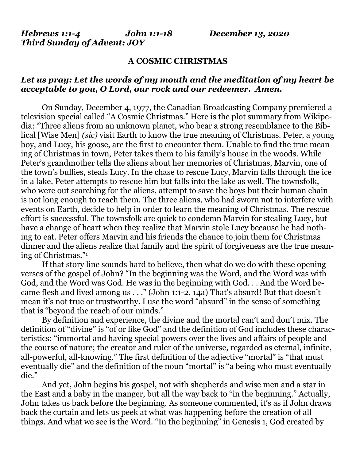*Hebrews 1:1-4 John 1:1-18 December 13, 2020 Third Sunday of Advent: JOY*

## **A COSMIC CHRISTMAS**

## *Let us pray: Let the words of my mouth and the meditation of my heart be acceptable to you, O Lord, our rock and our redeemer. Amen.*

On Sunday, December 4, 1977, the Canadian Broadcasting Company premiered a television special called "A Cosmic Christmas." Here is the plot summary from Wikipedia: "Three aliens from an unknown planet, who bear a strong resemblance to the Biblical [Wise Men] *(sic)* visit Earth to know the true meaning of Christmas. Peter, a young boy, and Lucy, his goose, are the first to encounter them. Unable to find the true meaning of Christmas in town, Peter takes them to his family's house in the woods. While Peter's grandmother tells the aliens about her memories of Christmas, Marvin, one of the town's bullies, steals Lucy. In the chase to rescue Lucy, Marvin falls through the ice in a lake. Peter attempts to rescue him but falls into the lake as well. The townsfolk, who were out searching for the aliens, attempt to save the boys but their human chain is not long enough to reach them. The three aliens, who had sworn not to interfere with events on Earth, decide to help in order to learn the meaning of Christmas. The rescue effort is successful. The townsfolk are quick to condemn Marvin for stealing Lucy, but have a change of heart when they realize that Marvin stole Lucy because he had nothing to eat. Peter offers Marvin and his friends the chance to join them for Christmas dinner and the aliens realize that family and the spirit of forgiveness are the true meaning of Christmas."<sup>1</sup>

If that story line sounds hard to believe, then what do we do with these opening verses of the gospel of John? "In the beginning was the Word, and the Word was with God, and the Word was God. He was in the beginning with God. . . And the Word became flesh and lived among us . . ." (John 1:1-2, 14a) That's absurd! But that doesn't mean it's not true or trustworthy. I use the word "absurd" in the sense of something that is "beyond the reach of our minds."

By definition and experience, the divine and the mortal can't and don't mix. The definition of "divine" is "of or like God" and the definition of God includes these characteristics: "immortal and having special powers over the lives and affairs of people and the course of nature; the creator and ruler of the universe, regarded as eternal, infinite, all-powerful, all-knowing." The first definition of the adjective "mortal" is "that must eventually die" and the definition of the noun "mortal" is "a being who must eventually die."

And yet, John begins his gospel, not with shepherds and wise men and a star in the East and a baby in the manger, but all the way back to "in the beginning." Actually, John takes us back before the beginning. As someone commented, it's as if John draws back the curtain and lets us peek at what was happening before the creation of all things. And what we see is the Word. "In the beginning" in Genesis 1, God created by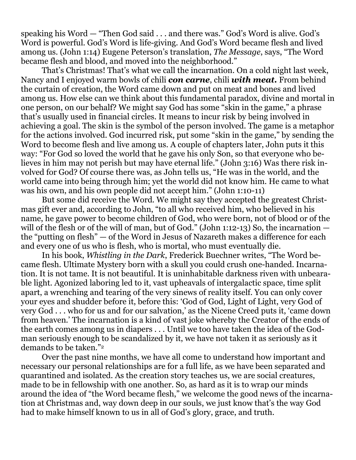speaking his Word — "Then God said . . . and there was." God's Word is alive. God's Word is powerful. God's Word is life-giving. And God's Word became flesh and lived among us. (John 1:14) Eugene Peterson's translation, *The Message*, says, "The Word became flesh and blood, and moved into the neighborhood."

That's Christmas! That's what we call the incarnation. On a cold night last week, Nancy and I enjoyed warm bowls of chili *con carne*, chili *with meat.* From behind the curtain of creation, the Word came down and put on meat and bones and lived among us. How else can we think about this fundamental paradox, divine and mortal in one person, on our behalf? We might say God has some "skin in the game," a phrase that's usually used in financial circles. It means to incur risk by being involved in achieving a goal. The skin is the symbol of the person involved. The game is a metaphor for the actions involved. God incurred risk, put some "skin in the game," by sending the Word to become flesh and live among us. A couple of chapters later, John puts it this way: "For God so loved the world that he gave his only Son, so that everyone who believes in him may not perish but may have eternal life." (John 3:16) Was there risk involved for God? Of course there was, as John tells us, "He was in the world, and the world came into being through him; yet the world did not know him. He came to what was his own, and his own people did not accept him." (John 1:10-11)

But some did receive the Word. We might say they accepted the greatest Christmas gift ever and, according to John, "to all who received him, who believed in his name, he gave power to become children of God, who were born, not of blood or of the will of the flesh or of the will of man, but of God." (John 1:12-13) So, the incarnation  $$ the "putting on flesh" — of the Word in Jesus of Nazareth makes a difference for each and every one of us who is flesh, who is mortal, who must eventually die.

In his book, *Whistling in the Dark*, Frederick Buechner writes, "The Word became flesh. Ultimate Mystery born with a skull you could crush one-handed. Incarnation. It is not tame. It is not beautiful. It is uninhabitable darkness riven with unbearable light. Agonized laboring led to it, vast upheavals of intergalactic space, time split apart, a wrenching and tearing of the very sinews of reality itself. You can only cover your eyes and shudder before it, before this: 'God of God, Light of Light, very God of very God . . . who for us and for our salvation,' as the Nicene Creed puts it, 'came down from heaven.' The incarnation is a kind of vast joke whereby the Creator of the ends of the earth comes among us in diapers . . . Until we too have taken the idea of the Godman seriously enough to be scandalized by it, we have not taken it as seriously as it demands to be taken."<sup>2</sup>

Over the past nine months, we have all come to understand how important and necessary our personal relationships are for a full life, as we have been separated and quarantined and isolated. As the creation story teaches us, we are social creatures, made to be in fellowship with one another. So, as hard as it is to wrap our minds around the idea of "the Word became flesh," we welcome the good news of the incarnation at Christmas and, way down deep in our souls, we just know that's the way God had to make himself known to us in all of God's glory, grace, and truth.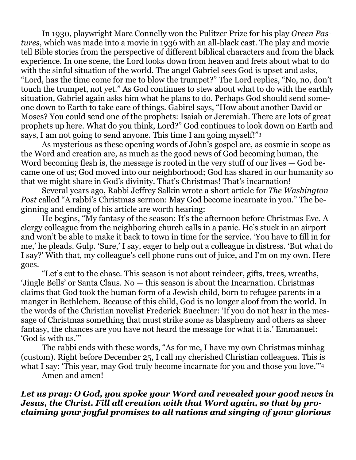In 1930, playwright Marc Connelly won the Pulitzer Prize for his play *Green Pastures*, which was made into a movie in 1936 with an all-black cast. The play and movie tell Bible stories from the perspective of different biblical characters and from the black experience. In one scene, the Lord looks down from heaven and frets about what to do with the sinful situation of the world. The angel Gabriel sees God is upset and asks, "Lord, has the time come for me to blow the trumpet?" The Lord replies, "No, no, don't touch the trumpet, not yet." As God continues to stew about what to do with the earthly situation, Gabriel again asks him what he plans to do. Perhaps God should send someone down to Earth to take care of things. Gabirel says, "How about another David or Moses? You could send one of the prophets: Isaiah or Jeremiah. There are lots of great prophets up here. What do you think, Lord?" God continues to look down on Earth and says, I am not going to send anyone. This time I am going myself!"<sup>3</sup>

As mysterious as these opening words of John's gospel are, as cosmic in scope as the Word and creation are, as much as the good news of God becoming human, the Word becoming flesh is, the message is rooted in the very stuff of our lives — God became one of us; God moved into our neighborhood; God has shared in our humanity so that we might share in God's divinity. That's Christmas! That's incarnation!

Several years ago, Rabbi Jeffrey Salkin wrote a short article for *The Washington Post* called "A rabbi's Christmas sermon: May God become incarnate in you." The beginning and ending of his article are worth hearing:

He begins, "My fantasy of the season: It's the afternoon before Christmas Eve. A clergy colleague from the neighboring church calls in a panic. He's stuck in an airport and won't be able to make it back to town in time for the service. 'You have to fill in for me,' he pleads. Gulp. 'Sure,' I say, eager to help out a colleague in distress. 'But what do I say?' With that, my colleague's cell phone runs out of juice, and I'm on my own. Here goes.

"Let's cut to the chase. This season is not about reindeer, gifts, trees, wreaths, 'Jingle Bells' or Santa Claus. No — this season is about the Incarnation. Christmas claims that God took the human form of a Jewish child, born to refugee parents in a manger in Bethlehem. Because of this child, God is no longer aloof from the world. In the words of the Christian novelist Frederick Buechner: 'If you do not hear in the message of Christmas something that must strike some as blasphemy and others as sheer fantasy, the chances are you have not heard the message for what it is.' Emmanuel: 'God is with us.'"

The rabbi ends with these words, "As for me, I have my own Christmas minhag (custom). Right before December 25, I call my cherished Christian colleagues. This is what I say: 'This year, may God truly become incarnate for you and those you love."<sup>4</sup>

Amen and amen!

*Let us pray: O God, you spoke your Word and revealed your good news in Jesus, the Christ. Fill all creation with that Word again, so that by proclaiming your joyful promises to all nations and singing of your glorious*